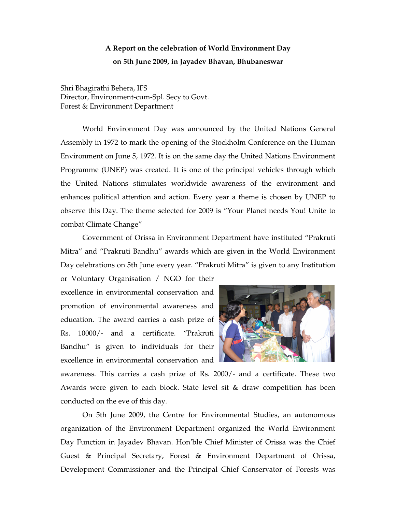## **A Report on the celebration of World Environment Day on 5th June 2009, in Jayadev Bhavan, Bhubaneswar**

Shri Bhagirathi Behera, IFS Director, Environment-cum-Spl. Secy to Govt. Forest & Environment Department

World Environment Day was announced by the United Nations General Assembly in 1972 to mark the opening of the Stockholm Conference on the Human Environment on June 5, 1972. It is on the same day the United Nations Environment Programme (UNEP) was created. It is one of the principal vehicles through which the United Nations stimulates worldwide awareness of the environment and enhances political attention and action. Every year a theme is chosen by UNEP to observe this Day. The theme selected for 2009 is "Your Planet needs You! Unite to combat Climate Change"

Government of Orissa in Environment Department have instituted "Prakruti Mitra" and "Prakruti Bandhu" awards which are given in the World Environment Day celebrations on 5th June every year. "Prakruti Mitra" is given to any Institution

or Voluntary Organisation / NGO for their excellence in environmental conservation and promotion of environmental awareness and education. The award carries a cash prize of Rs. 10000/- and a certificate. "Prakruti Bandhu" is given to individuals for their excellence in environmental conservation and



awareness. This carries a cash prize of Rs. 2000/- and a certificate. These two Awards were given to each block. State level sit & draw competition has been conducted on the eve of this day.

On 5th June 2009, the Centre for Environmental Studies, an autonomous organization of the Environment Department organized the World Environment Day Function in Jayadev Bhavan. Hon'ble Chief Minister of Orissa was the Chief Guest & Principal Secretary, Forest & Environment Department of Orissa, Development Commissioner and the Principal Chief Conservator of Forests was